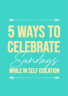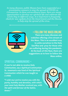*In many dioceses, public Masses have been suspended as a preventative measure to stop the spread of COVID-19 Coronavirus. In these extraordinary times, there are many opportunities to develop our spiritual life and celebrate the Lord's Day in different ways. It is important to frequently check for new updates from the Government and the Diocese to help stop the spread of the virus.*



### > FOLLOW THE MASS ONLINE

**There are many dioceses and websites offering a live-stream of the Mass. This is an excellent way to unite ourselves to the Holy Sacrifice and pray for those who are suffering during this pandemic. At the back of this flyer, there are suggestions as to how to follow the Mass online.**

### **SPIRITUAL COMMUNIONS <**

**If you're not able to receive Holy Communion, say a Spiritual Communion. St. Josemaria was fond of the Spiritual Communion which he was taught as a child:**

**"***I wish my Lord to receive you with the purity, humility and devotion, with which your most holy Mother received you, with the spirit and fervour of the Saints. Amen."*

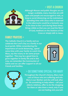# > VISIT A CHURCH



**Although Masses and public liturgies are no longer available, many churches are still open and people are encouraged to visit, as long as social distancing can be maintained. Spending time with Jesus who is reserved in the tabernacle would be a fantastic way to be close to Our Lord during these times. Bring a bible so that you can read the Word of God, meditate on the Stations of the Cross or simply talk to Jesus.**

### **FAMILY PRAYERS <**

**The Catholic Church is a family and we celebrate the Lord's Day as a family in our local parish. While remembering the importance of social distancing , spend some time with your family to watch the Mass, say the rosary or do some prayer together. This may be a good time to grow together in family life and in this way, we remember the Communion of Saints and we can offer support to all our friends and families.** 





# > DO SOMETHING SPECIAL FOR MARY

**Throughout the Church's history, Mary took care of those who are suffering and sick. Mary is our Mother and she will look after us. Do something to help others - call your elderly relatives, offer to do the shopping for them or take them a meal, only if you are not feeling sick yourself.**